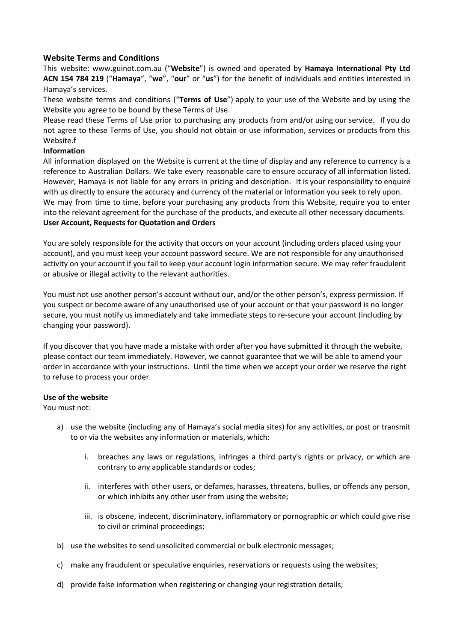# **Website Terms and Conditions**

This website: www.guinot.com.au ("**Website**") is owned and operated by **Hamaya International Pty Ltd ACN 154 784 219** ("**Hamaya**", "**we**", "**our**" or "**us**") for the benefit of individuals and entities interested in Hamaya's services.

These website terms and conditions ("**Terms of Use**") apply to your use of the Website and by using the Website you agree to be bound by these Terms of Use.

Please read these Terms of Use prior to purchasing any products from and/or using our service. If you do not agree to these Terms of Use, you should not obtain or use information, services or products from this Website.f

## **Information**

All information displayed on the Website is current at the time of display and any reference to currency is a reference to Australian Dollars. We take every reasonable care to ensure accuracy of all information listed. However, Hamaya is not liable for any errors in pricing and description. It is your responsibility to enquire with us directly to ensure the accuracy and currency of the material or information you seek to rely upon. We may from time to time, before your purchasing any products from this Website, require you to enter into the relevant agreement for the purchase of the products, and execute all other necessary documents. **User Account, Requests for Quotation and Orders**

You are solely responsible for the activity that occurs on your account (including orders placed using your account), and you must keep your account password secure. We are not responsible for any unauthorised activity on your account if you fail to keep your account login information secure. We may refer fraudulent or abusive or illegal activity to the relevant authorities.

You must not use another person's account without our, and/or the other person's, express permission. If you suspect or become aware of any unauthorised use of your account or that your password is no longer secure, you must notify us immediately and take immediate steps to re-secure your account (including by changing your password).

If you discover that you have made a mistake with order after you have submitted it through the website, please contact our team immediately. However, we cannot guarantee that we will be able to amend your order in accordance with your instructions. Until the time when we accept your order we reserve the right to refuse to process your order.

### **Use of the website**

You must not:

- a) use the website (including any of Hamaya's social media sites) for any activities, or post or transmit to or via the websites any information or materials, which:
	- i. breaches any laws or regulations, infringes a third party's rights or privacy, or which are contrary to any applicable standards or codes;
	- ii. interferes with other users, or defames, harasses, threatens, bullies, or offends any person, or which inhibits any other user from using the website;
	- iii. is obscene, indecent, discriminatory, inflammatory or pornographic or which could give rise to civil or criminal proceedings;
- b) use the websites to send unsolicited commercial or bulk electronic messages;
- c) make any fraudulent or speculative enquiries, reservations or requests using the websites;
- d) provide false information when registering or changing your registration details;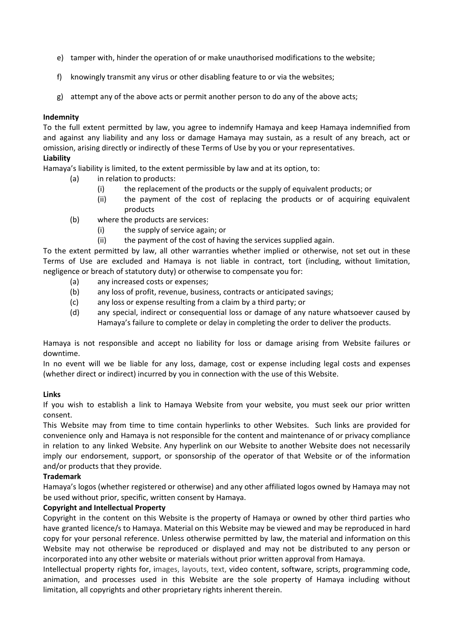- e) tamper with, hinder the operation of or make unauthorised modifications to the website;
- f) knowingly transmit any virus or other disabling feature to or via the websites;
- g) attempt any of the above acts or permit another person to do any of the above acts;

### **Indemnity**

To the full extent permitted by law, you agree to indemnify Hamaya and keep Hamaya indemnified from and against any liability and any loss or damage Hamaya may sustain, as a result of any breach, act or omission, arising directly or indirectly of these Terms of Use by you or your representatives. **Liability**

Hamaya's liability is limited, to the extent permissible by law and at its option, to:

- (a) in relation to products:
	- (i) the replacement of the products or the supply of equivalent products; or
	- (ii) the payment of the cost of replacing the products or of acquiring equivalent products
- (b) where the products are services:
	- (i) the supply of service again; or
	- (ii) the payment of the cost of having the services supplied again.

To the extent permitted by law, all other warranties whether implied or otherwise, not set out in these Terms of Use are excluded and Hamaya is not liable in contract, tort (including, without limitation, negligence or breach of statutory duty) or otherwise to compensate you for:

- (a) any increased costs or expenses;
- (b) any loss of profit, revenue, business, contracts or anticipated savings;
- (c) any loss or expense resulting from a claim by a third party; or
- (d) any special, indirect or consequential loss or damage of any nature whatsoever caused by Hamaya's failure to complete or delay in completing the order to deliver the products.

Hamaya is not responsible and accept no liability for loss or damage arising from Website failures or downtime.

In no event will we be liable for any loss, damage, cost or expense including legal costs and expenses (whether direct or indirect) incurred by you in connection with the use of this Website.

### **Links**

If you wish to establish a link to Hamaya Website from your website, you must seek our prior written consent.

This Website may from time to time contain hyperlinks to other Websites. Such links are provided for convenience only and Hamaya is not responsible for the content and maintenance of or privacy compliance in relation to any linked Website. Any hyperlink on our Website to another Website does not necessarily imply our endorsement, support, or sponsorship of the operator of that Website or of the information and/or products that they provide.

### **Trademark**

Hamaya's logos (whether registered or otherwise) and any other affiliated logos owned by Hamaya may not be used without prior, specific, written consent by Hamaya.

### **Copyright and Intellectual Property**

Copyright in the content on this Website is the property of Hamaya or owned by other third parties who have granted licence/s to Hamaya. Material on this Website may be viewed and may be reproduced in hard copy for your personal reference. Unless otherwise permitted by law, the material and information on this Website may not otherwise be reproduced or displayed and may not be distributed to any person or incorporated into any other website or materials without prior written approval from Hamaya.

Intellectual property rights for, images, layouts, text, video content, software, scripts, programming code, animation, and processes used in this Website are the sole property of Hamaya including without limitation, all copyrights and other proprietary rights inherent therein.